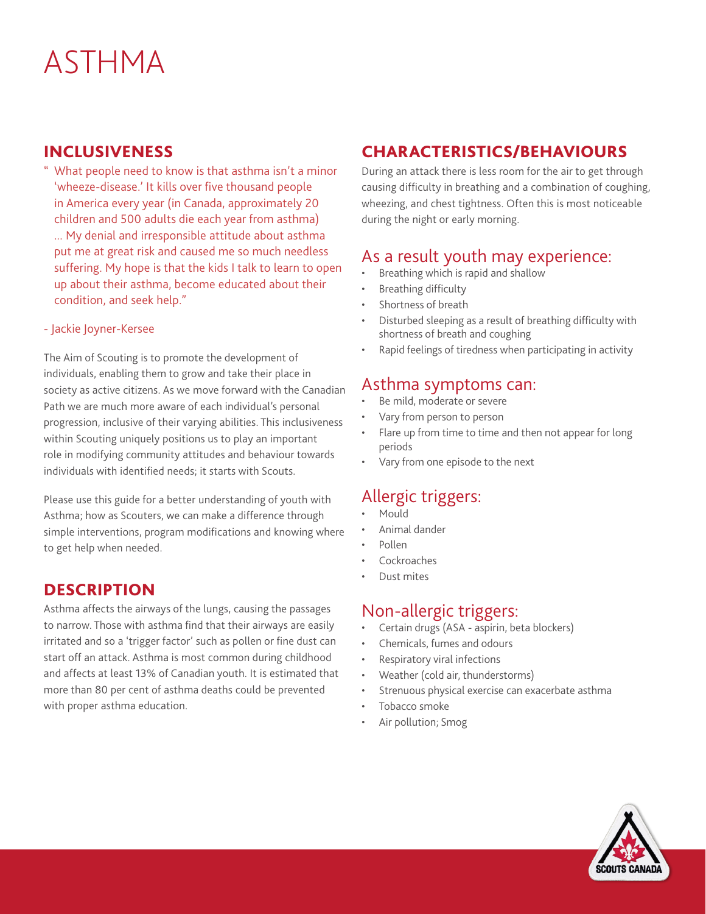# ASTHMA

### INCLUSIVENESS

" What people need to know is that asthma isn't a minor 'wheeze-disease.' It kills over five thousand people in America every year (in Canada, approximately 20 children and 500 adults die each year from asthma) ... My denial and irresponsible attitude about asthma put me at great risk and caused me so much needless suffering. My hope is that the kids I talk to learn to open up about their asthma, become educated about their condition, and seek help."

#### - Jackie Joyner-Kersee

The Aim of Scouting is to promote the development of individuals, enabling them to grow and take their place in society as active citizens. As we move forward with the Canadian Path we are much more aware of each individual's personal progression, inclusive of their varying abilities. This inclusiveness within Scouting uniquely positions us to play an important role in modifying community attitudes and behaviour towards individuals with identified needs; it starts with Scouts.

Please use this guide for a better understanding of youth with Asthma; how as Scouters, we can make a difference through simple interventions, program modifications and knowing where to get help when needed.

#### **DESCRIPTION**

Asthma affects the airways of the lungs, causing the passages to narrow. Those with asthma find that their airways are easily irritated and so a 'trigger factor' such as pollen or fine dust can start off an attack. Asthma is most common during childhood and affects at least 13% of Canadian youth. It is estimated that more than 80 per cent of asthma deaths could be prevented with proper asthma education.

#### CHARACTERISTICS/BEHAVIOURS

During an attack there is less room for the air to get through causing difficulty in breathing and a combination of coughing, wheezing, and chest tightness. Often this is most noticeable during the night or early morning.

# As a result youth may experience:

- Breathing which is rapid and shallow
- Breathing difficulty
- Shortness of breath
- Disturbed sleeping as a result of breathing difficulty with shortness of breath and coughing
- Rapid feelings of tiredness when participating in activity

#### Asthma symptoms can:

- Be mild, moderate or severe
- Vary from person to person
- Flare up from time to time and then not appear for long periods
- Vary from one episode to the next

#### Allergic triggers:

- Mould
- Animal dander
- Pollen
- **Cockroaches**
- Dust mites

#### Non-allergic triggers:

- Certain drugs (ASA aspirin, beta blockers)
- Chemicals, fumes and odours
- Respiratory viral infections
- Weather (cold air, thunderstorms)
- Strenuous physical exercise can exacerbate asthma
- Tobacco smoke
- Air pollution; Smog